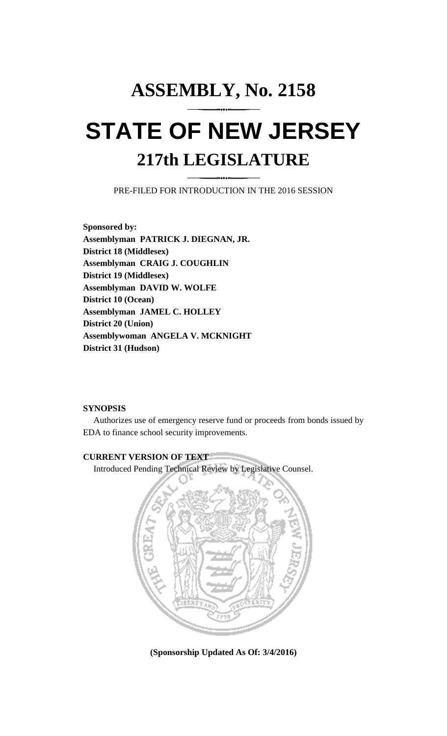# **ASSEMBLY, No. 2158 STATE OF NEW JERSEY 217th LEGISLATURE**

PRE-FILED FOR INTRODUCTION IN THE 2016 SESSION

**Sponsored by: Assemblyman PATRICK J. DIEGNAN, JR. District 18 (Middlesex) Assemblyman CRAIG J. COUGHLIN District 19 (Middlesex) Assemblyman DAVID W. WOLFE District 10 (Ocean) Assemblyman JAMEL C. HOLLEY District 20 (Union) Assemblywoman ANGELA V. MCKNIGHT District 31 (Hudson)**

## **SYNOPSIS**

Authorizes use of emergency reserve fund or proceeds from bonds issued by EDA to finance school security improvements.

## **CURRENT VERSION OF TEXT**  Introduced Pending Technical Review by Legislative Counsel.



**(Sponsorship Updated As Of: 3/4/2016)**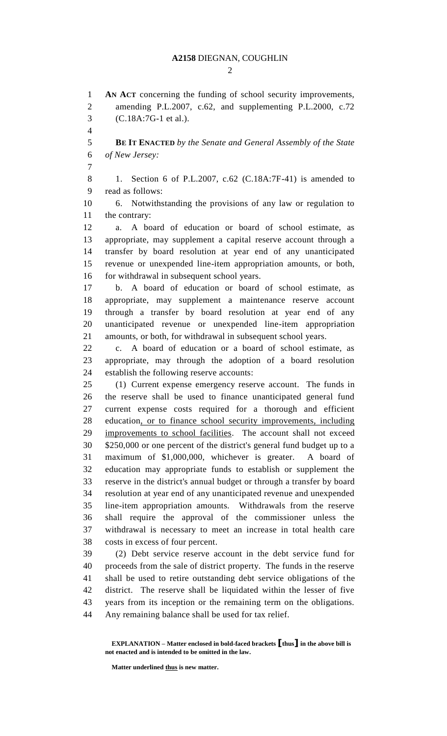### **A2158** DIEGNAN, COUGHLIN

 $\mathcal{D}_{\mathcal{L}}$ 

 **AN ACT** concerning the funding of school security improvements, amending P.L.2007, c.62, and supplementing P.L.2000, c.72 (C.18A:7G-1 et al.). **BE IT ENACTED** *by the Senate and General Assembly of the State of New Jersey:* 1. Section 6 of P.L.2007, c.62 (C.18A:7F-41) is amended to read as follows: 6. Notwithstanding the provisions of any law or regulation to the contrary: a. A board of education or board of school estimate, as appropriate, may supplement a capital reserve account through a transfer by board resolution at year end of any unanticipated revenue or unexpended line-item appropriation amounts, or both, 16 for withdrawal in subsequent school years. b. A board of education or board of school estimate, as appropriate, may supplement a maintenance reserve account through a transfer by board resolution at year end of any unanticipated revenue or unexpended line-item appropriation amounts, or both, for withdrawal in subsequent school years. c. A board of education or a board of school estimate, as appropriate, may through the adoption of a board resolution establish the following reserve accounts: (1) Current expense emergency reserve account. The funds in the reserve shall be used to finance unanticipated general fund current expense costs required for a thorough and efficient education, or to finance school security improvements, including improvements to school facilities. The account shall not exceed \$250,000 or one percent of the district's general fund budget up to a maximum of \$1,000,000, whichever is greater. A board of education may appropriate funds to establish or supplement the reserve in the district's annual budget or through a transfer by board resolution at year end of any unanticipated revenue and unexpended line-item appropriation amounts. Withdrawals from the reserve shall require the approval of the commissioner unless the withdrawal is necessary to meet an increase in total health care costs in excess of four percent. (2) Debt service reserve account in the debt service fund for proceeds from the sale of district property. The funds in the reserve shall be used to retire outstanding debt service obligations of the district. The reserve shall be liquidated within the lesser of five years from its inception or the remaining term on the obligations. Any remaining balance shall be used for tax relief.

**Matter underlined thus is new matter.**

**EXPLANATION – Matter enclosed in bold-faced brackets [thus] in the above bill is not enacted and is intended to be omitted in the law.**